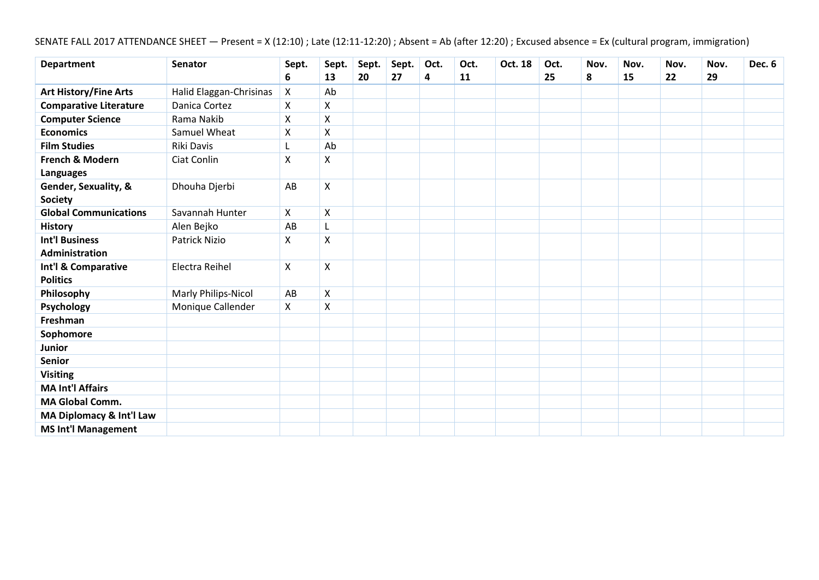# SENATE FALL 2017 ATTENDANCE SHEET — Present = X (12:10) ; Late (12:11-12:20) ; Absent = Ab (after 12:20) ; Excused absence = Ex (cultural program, immigration)

| <b>Department</b>                      | <b>Senator</b>          | Sept. | Sept.              | Sept. | Sept. | Oct. | Oct. | Oct. 18 | Oct. | Nov. | Nov. | Nov. | Nov. | Dec. 6 |
|----------------------------------------|-------------------------|-------|--------------------|-------|-------|------|------|---------|------|------|------|------|------|--------|
|                                        |                         | 6     | 13                 | 20    | 27    | 4    | 11   |         | 25   | 8    | 15   | 22   | 29   |        |
| <b>Art History/Fine Arts</b>           | Halid Elaggan-Chrisinas | X     | Ab                 |       |       |      |      |         |      |      |      |      |      |        |
| <b>Comparative Literature</b>          | Danica Cortez           | X     | X                  |       |       |      |      |         |      |      |      |      |      |        |
| <b>Computer Science</b>                | Rama Nakib              | X     | Χ                  |       |       |      |      |         |      |      |      |      |      |        |
| <b>Economics</b>                       | Samuel Wheat            | Χ     | $\mathsf{X}$       |       |       |      |      |         |      |      |      |      |      |        |
| <b>Film Studies</b>                    | Riki Davis              |       | Ab                 |       |       |      |      |         |      |      |      |      |      |        |
| French & Modern<br><b>Languages</b>    | Ciat Conlin             | X     | Χ                  |       |       |      |      |         |      |      |      |      |      |        |
| Gender, Sexuality, &<br><b>Society</b> | Dhouha Djerbi           | AB    | $\pmb{\mathsf{X}}$ |       |       |      |      |         |      |      |      |      |      |        |
| <b>Global Communications</b>           | Savannah Hunter         | X     | $\pmb{\mathsf{X}}$ |       |       |      |      |         |      |      |      |      |      |        |
| <b>History</b>                         | Alen Bejko              | AB    | L                  |       |       |      |      |         |      |      |      |      |      |        |
| <b>Int'l Business</b>                  | <b>Patrick Nizio</b>    | Χ     | X                  |       |       |      |      |         |      |      |      |      |      |        |
| Administration                         |                         |       |                    |       |       |      |      |         |      |      |      |      |      |        |
| Int'l & Comparative<br><b>Politics</b> | Electra Reihel          | X     | X                  |       |       |      |      |         |      |      |      |      |      |        |
| Philosophy                             | Marly Philips-Nicol     | AB    | $\pmb{\mathsf{X}}$ |       |       |      |      |         |      |      |      |      |      |        |
| Psychology                             | Monique Callender       | X     | Χ                  |       |       |      |      |         |      |      |      |      |      |        |
| Freshman                               |                         |       |                    |       |       |      |      |         |      |      |      |      |      |        |
| Sophomore                              |                         |       |                    |       |       |      |      |         |      |      |      |      |      |        |
| Junior                                 |                         |       |                    |       |       |      |      |         |      |      |      |      |      |        |
| <b>Senior</b>                          |                         |       |                    |       |       |      |      |         |      |      |      |      |      |        |
| <b>Visiting</b>                        |                         |       |                    |       |       |      |      |         |      |      |      |      |      |        |
| <b>MA Int'l Affairs</b>                |                         |       |                    |       |       |      |      |         |      |      |      |      |      |        |
| <b>MA Global Comm.</b>                 |                         |       |                    |       |       |      |      |         |      |      |      |      |      |        |
| MA Diplomacy & Int'l Law               |                         |       |                    |       |       |      |      |         |      |      |      |      |      |        |
| <b>MS Int'l Management</b>             |                         |       |                    |       |       |      |      |         |      |      |      |      |      |        |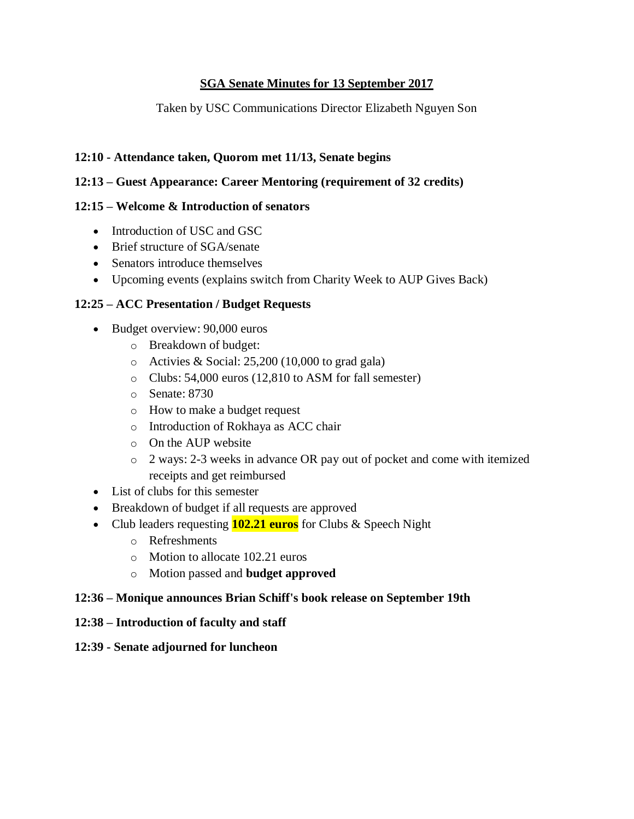### **SGA Senate Minutes for 13 September 2017**

Taken by USC Communications Director Elizabeth Nguyen Son

### **12:10 - Attendance taken, Quorom met 11/13, Senate begins**

### **12:13 – Guest Appearance: Career Mentoring (requirement of 32 credits)**

### **12:15 – Welcome & Introduction of senators**

- Introduction of USC and GSC
- Brief structure of SGA/senate
- Senators introduce themselves
- Upcoming events (explains switch from Charity Week to AUP Gives Back)

## **12:25 – ACC Presentation / Budget Requests**

- Budget overview: 90,000 euros
	- o Breakdown of budget:
	- $\circ$  Activies & Social: 25,200 (10,000 to grad gala)
	- o Clubs: 54,000 euros (12,810 to ASM for fall semester)
	- o Senate: 8730
	- o How to make a budget request
	- o Introduction of Rokhaya as ACC chair
	- o On the AUP website
	- o 2 ways: 2-3 weeks in advance OR pay out of pocket and come with itemized receipts and get reimbursed
- List of clubs for this semester
- Breakdown of budget if all requests are approved
- Club leaders requesting **102.21 euros** for Clubs & Speech Night
	- o Refreshments
	- o Motion to allocate 102.21 euros
	- o Motion passed and **budget approved**

### **12:36 – Monique announces Brian Schiff's book release on September 19th**

### **12:38 – Introduction of faculty and staff**

**12:39 - Senate adjourned for luncheon**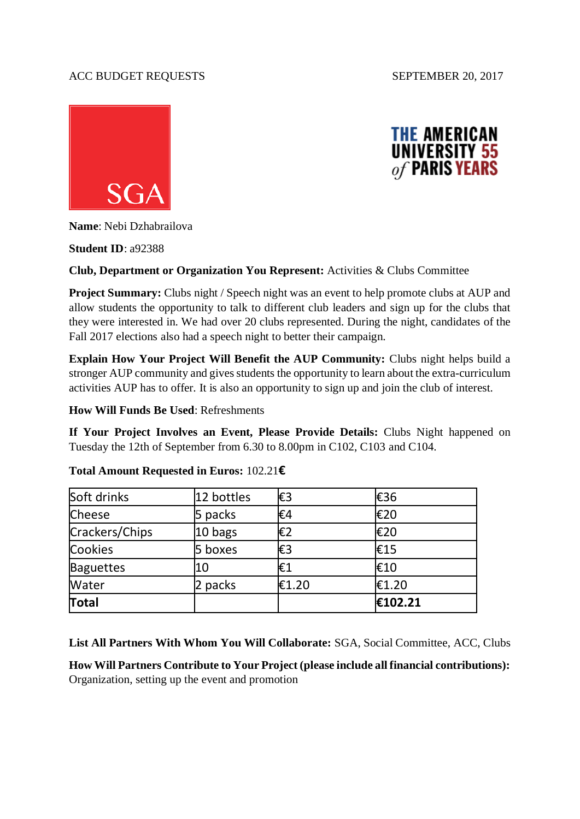#### ACC BUDGET REQUESTS SEPTEMBER 20, 2017





**Name**: Nebi Dzhabrailova

**Student ID**: a92388

#### **Club, Department or Organization You Represent:** Activities & Clubs Committee

**Project Summary:** Clubs night / Speech night was an event to help promote clubs at AUP and allow students the opportunity to talk to different club leaders and sign up for the clubs that they were interested in. We had over 20 clubs represented. During the night, candidates of the Fall 2017 elections also had a speech night to better their campaign.

**Explain How Your Project Will Benefit the AUP Community:** Clubs night helps build a stronger AUP community and gives students the opportunity to learn about the extra-curriculum activities AUP has to offer. It is also an opportunity to sign up and join the club of interest.

**How Will Funds Be Used**: Refreshments

**If Your Project Involves an Event, Please Provide Details:** Clubs Night happened on Tuesday the 12th of September from 6.30 to 8.00pm in C102, C103 and C104.

| Total            |            |       | €102.21 |
|------------------|------------|-------|---------|
| Water            | 2 packs    | €1.20 | €1.20   |
| <b>Baguettes</b> | 10         | €1    | €10     |
| <b>Cookies</b>   | 5 boxes    | €3    | €15     |
| Crackers/Chips   | 10 bags    | €2    | €20     |
| <b>Cheese</b>    | 5 packs    | €4    | €20     |
| Soft drinks      | 12 bottles | €3    | €36     |

#### **Total Amount Requested in Euros:** 102.21**€**

**List All Partners With Whom You Will Collaborate:** SGA, Social Committee, ACC, Clubs

**How Will Partners Contribute to Your Project (please include all financial contributions):**  Organization, setting up the event and promotion